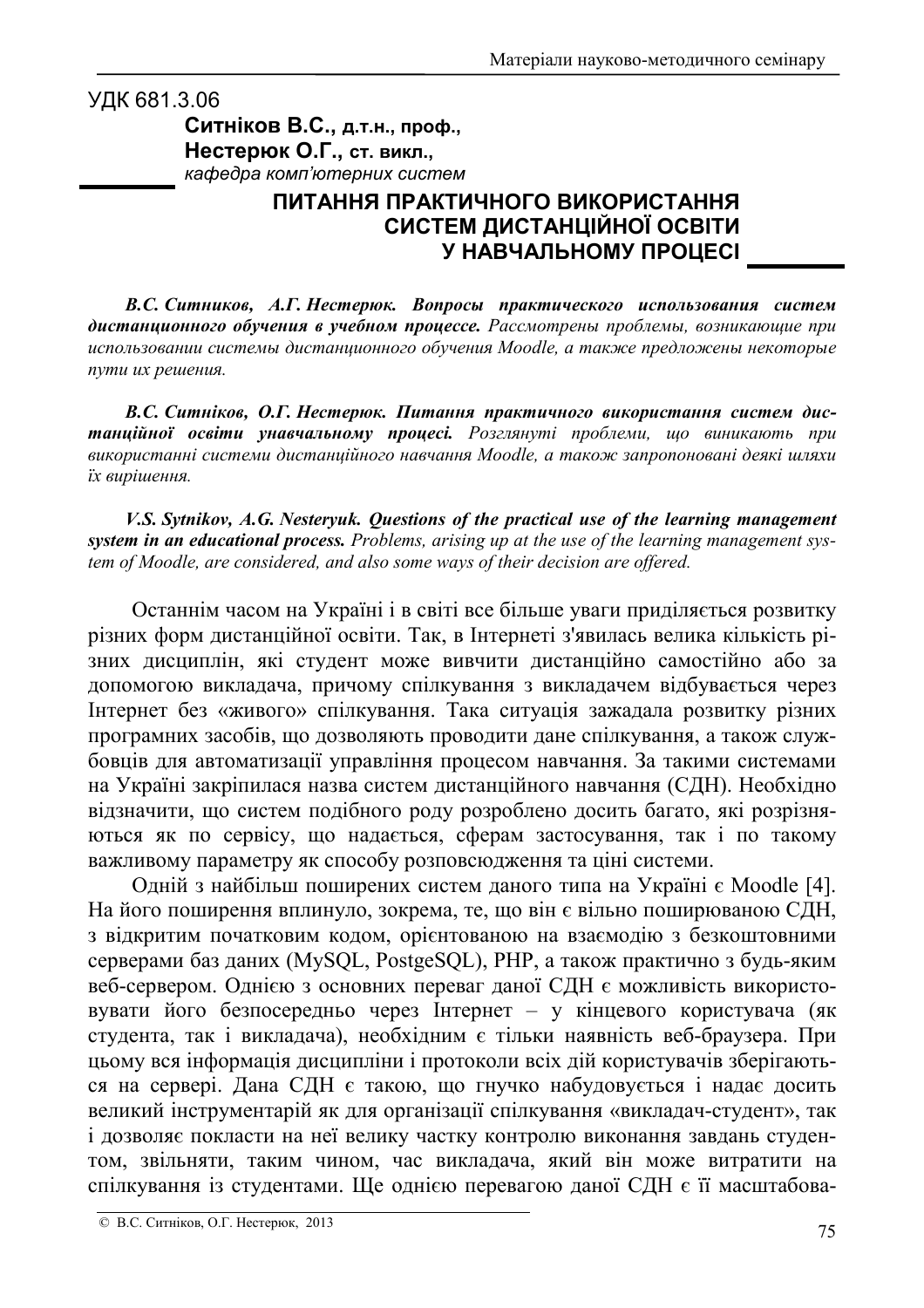УДК 681.3.06 Ситніков В.С., д.т.н., проф., Нестерюк О.Г., ст. викл., кафедра комп'ютерних систем

## ПИТАННЯ ПРАКТИЧНОГО ВИКОРИСТАННЯ СИСТЕМ ДИСТАНЦІЙНОЇ ОСВІТИ У НАВЧАЛЬНОМУ ПРОЦЕСІ

В.С. Ситников, А.Г. Нестерюк. Вопросы практического использования систем дистанционного обучения в учебном процессе. Рассмотрены проблемы, возникающие при использовании системы дистанционного обучения Moodle, а также предложены некоторые пути их решения.

В.С. Ситніков, О.Г. Нестерюк. Питання практичного використання систем дистанційної освіти унавчальному процесі. Розглянуті проблеми, що виникають при використанні системи дистанційного навчання Moodle, а також запропоновані деякі шляхи їх вирішення.

V.S. Sytnikov, A.G. Nesteryuk. Questions of the practical use of the learning management system in an educational process. Problems, arising up at the use of the learning management system of Moodle, are considered, and also some ways of their decision are offered.

Останнім часом на Україні і в світі все більше уваги приділяється розвитку різних форм дистанційної освіти. Так, в Інтернеті з'явилась велика кількість різних дисциплін, які студент може вивчити дистанційно самостійно або за допомогою викладача, причому спілкування з викладачем відбувається через Інтернет без «живого» спілкування. Така ситуація зажадала розвитку різних програмних засобів, що дозволяють проводити дане спілкування, а також службовців для автоматизації управління процесом навчання. За такими системами на Україні закріпилася назва систем дистанційного навчання (СДН). Необхідно відзначити, що систем подібного роду розроблено досить багато, які розрізняються як по сервісу, що надається, сферам застосування, так і по такому важливому параметру як способу розповсюдження та ціні системи.

Одній з найбільш поширених систем даного типа на Україні є Moodle [4]. На його поширення вплинуло, зокрема, те, що він є вільно поширюваною СДН, з відкритим початковим кодом, орієнтованою на взаємодію з безкоштовними серверами баз даних (MySQL, PostgeSQL), PHP, а також практично з будь-яким веб-сервером. Однією з основних переваг даної СДН є можливість використовувати його безпосередньо через Інтернет - у кінцевого користувача (як студента, так і викладача), необхідним є тільки наявність веб-браузера. При цьому вся інформація дисципліни і протоколи всіх дій користувачів зберігаються на сервері. Дана СДН є такою, що гнучко набудовується і надає досить великий інструментарій як для організації спілкування «викладач-студент», так і дозволяє покласти на неї велику частку контролю виконання завдань студентом, звільняти, таким чином, час викладача, який він може витратити на спілкування із студентами. Ще однією перевагою даної СДН є її масштабова-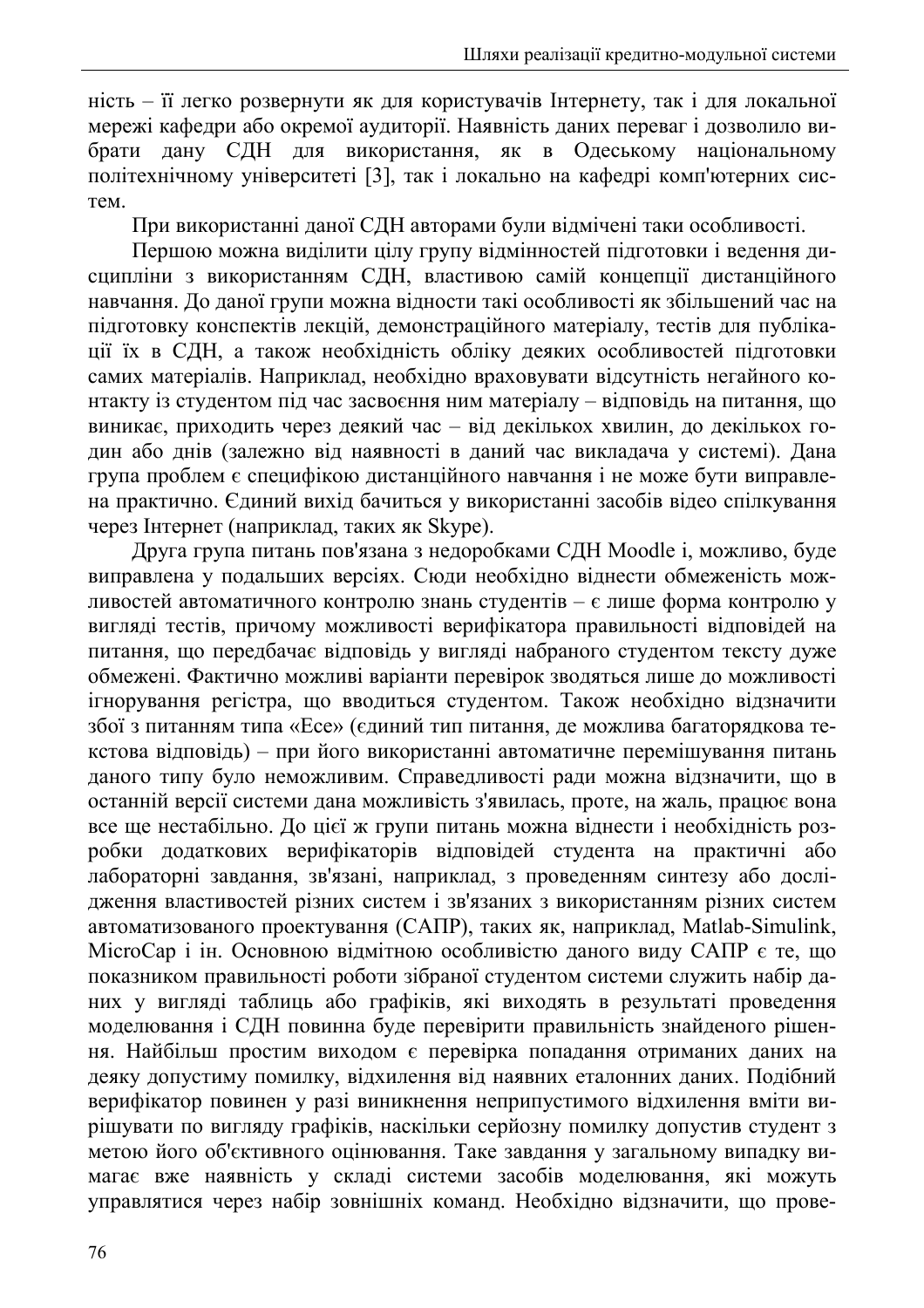ність - її легко розвернути як для користувачів Інтернету, так і для локальної мережі кафедри або окремої аудиторії. Наявність даних переваг і дозволило вибрати дану СДН для використання, як в Одеському національному політехнічному університеті [3], так і локально на кафедрі комп'ютерних систем

При використанні даної СДН авторами були відмічені таки особливості.

Першою можна виділити цілу групу відмінностей пілготовки і ведення дисципліни з використанням СДН, властивою самій концепції дистанційного навчання. До даної групи можна відности такі особливості як збільшений час на підготовку конспектів лекцій, демонстраційного матеріалу, тестів для публікації їх в СДН, а також необхідність обліку деяких особливостей підготовки самих матеріалів. Наприклад, необхідно враховувати відсутність негайного контакту із студентом під час засвоєння ним матеріалу - відповідь на питання, що виникає, приходить через деякий час - від декількох хвилин, до декількох годин або днів (залежно від наявності в даний час викладача у системі). Дана група проблем є специфікою дистанційного навчання і не може бути виправлена практично. Єдиний вихід бачиться у використанні засобів відео спілкування через Інтернет (наприклад, таких як Skype).

Друга група питань пов'язана з недоробками СДН Moodle i, можливо, буде виправлена у подальших версіях. Сюди необхідно віднести обмеженість можливостей автоматичного контролю знань студентів - є лише форма контролю у вигляді тестів, причому можливості верифікатора правильності відповідей на питання, що передбачає відповідь у вигляді набраного студентом тексту дуже обмежені. Фактично можливі варіанти перевірок зводяться лише до можливості ігнорування регістра, що вводиться студентом. Також необхідно відзначити збої з питанням типа «Есе» (єдиний тип питання, де можлива багаторядкова текстова відповідь) - при його використанні автоматичне перемішування питань даного типу було неможливим. Справедливості ради можна відзначити, що в останній версії системи дана можливість з'явилась, проте, на жаль, працює вона все ще нестабільно. До цієї ж групи питань можна віднести і необхідність розробки додаткових верифікаторів відповідей студента на практичні або лабораторні завдання, зв'язані, наприклад, з проведенням синтезу або дослідження властивостей різних систем і зв'язаних з використанням різних систем автоматизованого проектування (САПР), таких як, наприклад, Matlab-Simulink, МісгоСар і ін. Основною відмітною особливістю даного виду САПР є те, що показником правильності роботи зібраної студентом системи служить набір даних у вигляді таблиць або графіків, які виходять в результаті проведення моделювання і СДН повинна буде перевірити правильність знайденого рішення. Найбільш простим виходом є перевірка попадання отриманих даних на деяку допустиму помилку, відхилення від наявних еталонних даних. Подібний верифікатор повинен у разі виникнення неприпустимого відхилення вміти вирішувати по вигляду графіків, наскільки серйозну помилку допустив студент з метою його об'єктивного оцінювання. Таке завдання у загальному випадку вимагає вже наявність у складі системи засобів моделювання, які можуть управлятися через набір зовнішніх команд. Необхідно відзначити, що прове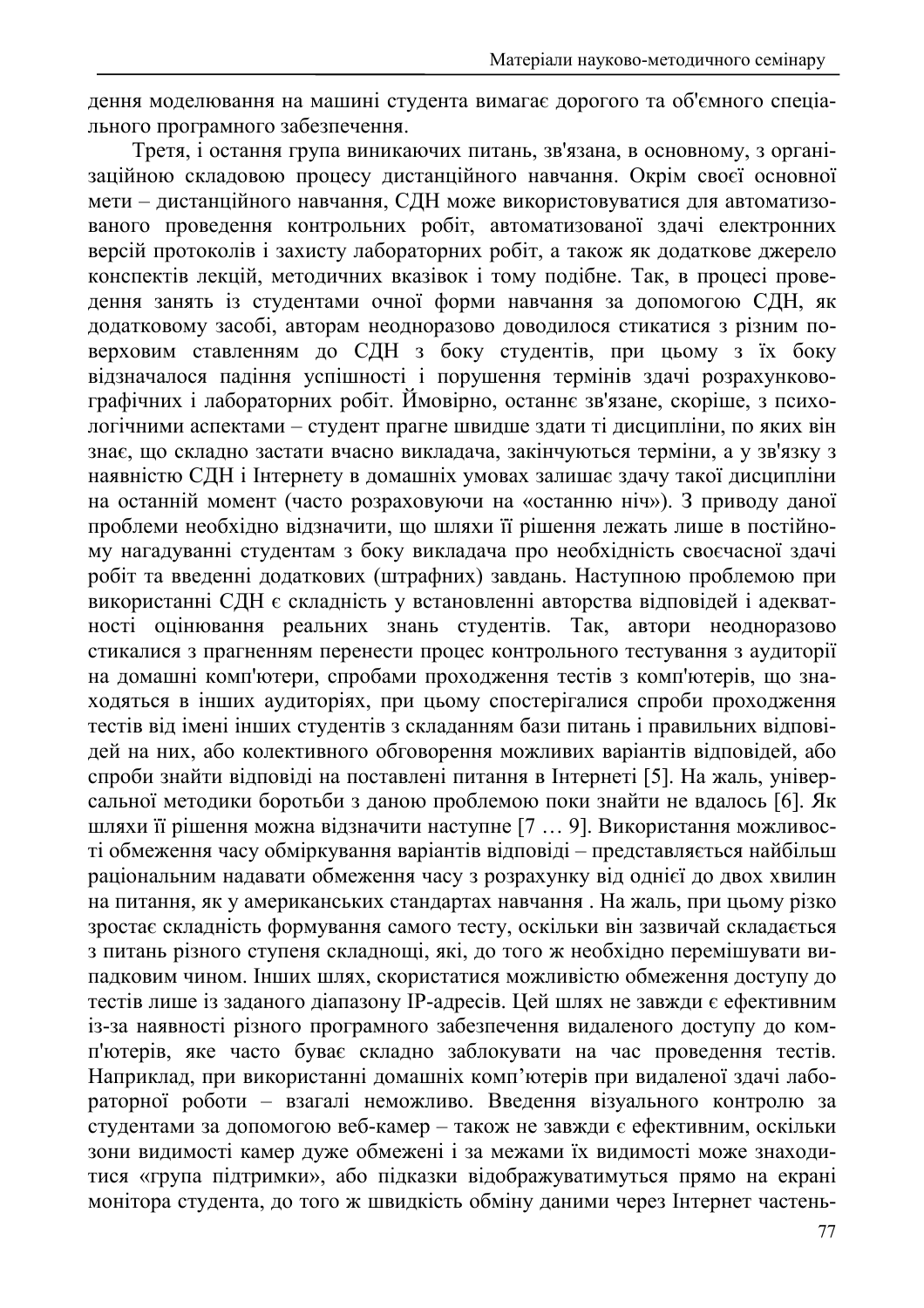дення моделювання на машині студента вимагає дорогого та об'ємного спеціального програмного забезпечення.

Третя, і остання група виникаючих питань, зв'язана, в основному, з організаційною складовою процесу дистанційного навчання. Окрім своєї основної мети - дистанційного навчання, СДН може використовуватися для автоматизованого проведення контрольних робіт, автоматизованої здачі електронних версій протоколів і захисту лабораторних робіт, а також як додаткове джерело конспектів лекцій, методичних вказівок і тому подібне. Так, в процесі проведення занять із студентами очної форми навчання за допомогою СДН, як додатковому засобі, авторам неодноразово доводилося стикатися з різним поверховим ставленням до СДН з боку студентів, при цьому з їх боку відзначалося падіння успішності і порушення термінів здачі розрахунковографічних і лабораторних робіт. Ймовірно, останнє зв'язане, скоріше, з психологічними аспектами - студент прагне швидше здати ті дисципліни, по яких він знає, що складно застати вчасно викладача, закінчуються терміни, а у зв'язку з наявністю СДН і Інтернету в домашніх умовах залишає здачу такої дисципліни на останній момент (часто розраховуючи на «останню ніч»). З приводу даної проблеми необхідно відзначити, що шляхи її рішення лежать лише в постійному нагадуванні студентам з боку викладача про необхідність своєчасної здачі робіт та введенні додаткових (штрафних) завдань. Наступною проблемою при використанні СДН є складність у встановленні авторства відповідей і адекватності оцінювання реальних знань студентів. Так, автори неодноразово стикалися з прагненням перенести процес контрольного тестування з аудиторії на домашні комп'ютери, спробами проходження тестів з комп'ютерів, що знаходяться в інших аудиторіях, при цьому спостерігалися спроби проходження тестів від імені інших студентів з складанням бази питань і правильних відповідей на них, або колективного обговорення можливих варіантів відповідей, або спроби знайти відповіді на поставлені питання в Інтернеті [5]. На жаль, універсальної методики боротьби з даною проблемою поки знайти не вдалось [6]. Як шляхи її рішення можна відзначити наступне [7 ... 9]. Використання можливості обмеження часу обміркування варіантів відповіді - представляється найбільш раціональним надавати обмеження часу з розрахунку від однієї до двох хвилин на питання, як у американських стандартах навчання. На жаль, при цьому різко зростає складність формування самого тесту, оскільки він зазвичай складається з питань різного ступеня складнощі, які, до того ж необхідно перемішувати випадковим чином. Інших шлях, скористатися можливістю обмеження доступу до тестів лише із заданого діапазону ІР-адресів. Цей шлях не завжди є ефективним із-за наявності різного програмного забезпечення видаленого доступу до комп'ютерів, яке часто буває складно заблокувати на час проведення тестів. Наприклад, при використанні домашніх комп'ютерів при видаленої здачі лабораторної роботи - взагалі неможливо. Введення візуального контролю за студентами за допомогою веб-камер - також не завжди є ефективним, оскільки зони видимості камер дуже обмежені і за межами їх видимості може знаходитися «група підтримки», або підказки відображуватимуться прямо на екрані монітора студента, до того ж швидкість обміну даними через Інтернет частень-